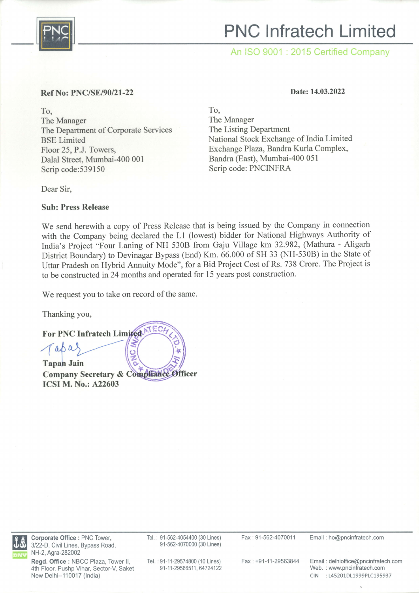

## PNC lnfratech Limited

An ISO 9001 : 2015 Certified Company

## Ref No: PNC/SE/90/21-22

To, The Manager The Departrnent of Corporate Services BSE Limited Floor 25, P.J. Towers, Dalal Street, Mumbai-400 001 Scrip code:539150

Dear Sir,

Date: 14.03.2022

To, The Manager The Listing Department National Stock Exchange of India Limited Exchange Plaza, Bandra Kurla Complex, Bandra (East), Mumbai-4OO 051 Scrip code: PNCINFRA

Sub: Press Release

We send herewith a copy of Press Release that is being issued by the Company in connection with the Company being declared the Ll (lowest) bidder for National Highways Authority of India's Project "Four Laning of NH 5308 from Gaju Village km 32.982, (Mathura - Aligarh District Boundary) to Devinagar Bypass (End) Km. 66.000 of SH 33 (NH-530B) in the State of Uttar Pradesh on Hybrid Annuity Mode", for a Bid Project Cost of Rs. 738 Crore. The Project is to be constructed in 24 months and operated for 15 years post construction.

We request you to take on record of the same.

Thanking you,

For PNC Infratech Lim

Taba Tapan Jain Tapan Jain<br>Company Secretary & Com ICSI M. No.: A22603  $\sqrt{\circ}$ **CONTECHT CHARGE** 



Corporate Office : PNC Tower, 3122-D, Civil Lines, Bypass Road, NH-2, Agra-282002

Regd. Office : NBCC Plaza, Tower II. 4th Floor, Pushp Vihar, Sector-V, Saket New Delhi--110017 (India)

Tel. : 91-562-4054400 (30 Lines) 91-562-4070000 (30 Lines)

Fax: 91-562-4070011 Email: ho@pncinfratech.com

Tel.: 91-11-29574800 (10 Lines) 91-11-29566511, 64724122

Fax: +91-11-29563844 Email: delhioffice@pncinfratech.com Web. : www.pncinfratech.com CIN :145201D11999P1C195937

 $\lambda$